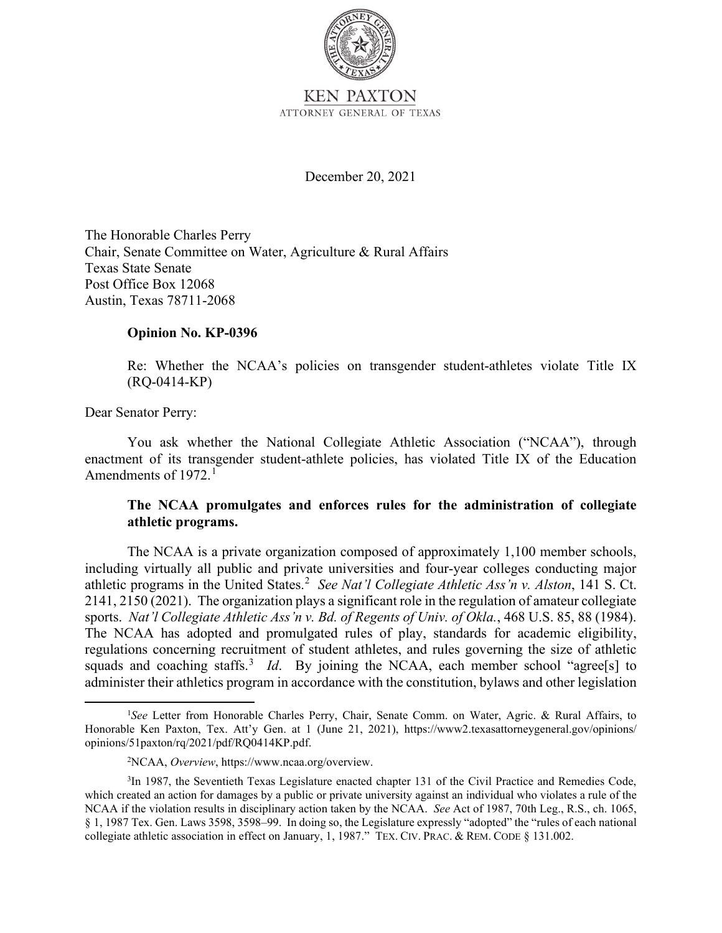

December 20, 2021

The Honorable Charles Perry Chair, Senate Committee on Water, Agriculture & Rural Affairs Texas State Senate Post Office Box 12068 Austin, Texas 78711-2068

### **Opinion No. KP-0396**

Re: Whether the NCAA's policies on transgender student-athletes violate Title IX (RQ-0414-KP)

Dear Senator Perry:

You ask whether the National Collegiate Athletic Association ("NCAA"), through enactment of its transgender student-athlete policies, has violated Title IX of the Education Amendments of 1972.<sup>1</sup>

# **The NCAA promulgates and enforces rules for the administration of collegiate athletic programs.**

athletic programs in the United States.<sup>2</sup> See Nat'l Collegiate Athletic Ass'n v. Alston, 141 S. Ct. regulations concerning recruitment of student athletes, and rules governing the size of athletic squads and coaching staffs.<sup>3</sup> Id. By joining the NCAA, each member school "agree[s] to The NCAA is a private organization composed of approximately 1,100 member schools, including virtually all public and private universities and four-year colleges conducting major 2141, 2150 (2021). The organization plays a significant role in the regulation of amateur collegiate sports. *Nat'l Collegiate Athletic Ass'n v. Bd. of Regents of Univ. of Okla.*, 468 U.S. 85, 88 (1984). The NCAA has adopted and promulgated rules of play, standards for academic eligibility, administer their athletics program in accordance with the constitution, bylaws and other legislation

 Honorable Ken Paxton, Tex. Att'y Gen. at 1 (June 21, 2021), <https://www2.texasattorneygeneral.gov/opinions>/ <sup>1</sup>See Letter from Honorable Charles Perry, Chair, Senate Comm. on Water, Agric. & Rural Affairs, to opinions/51paxton/rq/2021/pdf/RQ0414KP.pdf.

<sup>2</sup> NCAA, *Overview*, <https://www.ncaa.org/overview>.

 which created an action for damages by a public or private university against an individual who violates a rule of the NCAA if the violation results in disciplinary action taken by the NCAA. *See* Act of 1987, 70th Leg., R.S., ch. 1065, § 1, 1987 Tex. Gen. Laws 3598, 3598–99. In doing so, the Legislature expressly "adopted" the "rules of each national collegiate athletic association in effect on January, 1, 1987." TEX. CIV. PRAC. & REM. CODE § 131.002. <sup>3</sup>In 1987, the Seventieth Texas Legislature enacted chapter 131 of the Civil Practice and Remedies Code,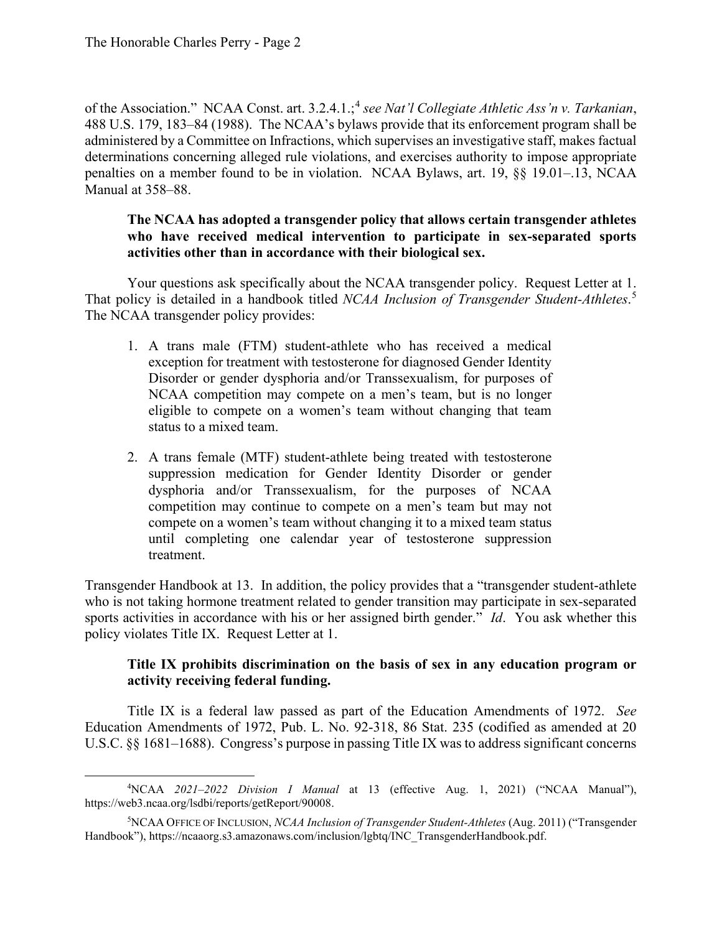of the Association." NCAA Const. art. 3.2.4.1.;<sup>4</sup> see Nat'l Collegiate Athletic Ass'n v. Tarkanian, 488 U.S. 179, 183–84 (1988). The NCAA's bylaws provide that its enforcement program shall be penalties on a member found to be in violation. NCAA Bylaws, art. 19, §§ [19.01–.13](https://19.01�.13), NCAA administered by a Committee on Infractions, which supervises an investigative staff, makes factual determinations concerning alleged rule violations, and exercises authority to impose appropriate Manual at 358–88.

# **The NCAA has adopted a transgender policy that allows certain transgender athletes who have received medical intervention to participate in sex-separated sports activities other than in accordance with their biological sex.**

 Your questions ask specifically about the NCAA transgender policy. Request Letter at 1. That policy is detailed in a handbook titled *NCAA Inclusion of Transgender Student-Athletes*. 5 The NCAA transgender policy provides:

- exception for treatment with testosterone for diagnosed Gender Identity 1. A trans male (FTM) student-athlete who has received a medical Disorder or gender dysphoria and/or Transsexualism, for purposes of NCAA competition may compete on a men's team, but is no longer eligible to compete on a women's team without changing that team status to a mixed team.
- suppression medication for Gender Identity Disorder or gender 2. A trans female (MTF) student-athlete being treated with testosterone dysphoria and/or Transsexualism, for the purposes of NCAA competition may continue to compete on a men's team but may not compete on a women's team without changing it to a mixed team status until completing one calendar year of testosterone suppression treatment.

 sports activities in accordance with his or her assigned birth gender." *Id*. You ask whether this policy violates Title IX. Request Letter at 1. Transgender Handbook at 13. In addition, the policy provides that a "transgender student-athlete who is not taking hormone treatment related to gender transition may participate in sex-separated

# **Title IX prohibits discrimination on the basis of sex in any education program or activity receiving federal funding.**

Title IX is a federal law passed as part of the Education Amendments of 1972. *See*  Education Amendments of 1972, Pub. L. No. 92-318, 86 Stat. 235 (codified as amended at 20 U.S.C. §§ 1681–1688). Congress's purpose in passing Title IX was to address significant concerns

 4 NCAA *2021–2022 Division I Manual* at 13 (effective Aug. 1, 2021) ("NCAA Manual"), <https://web3.ncaa.org/lsdbi/reports/getReport/90008>.

<sup>5</sup> NCAA OFFICE OF INCLUSION, *NCAA Inclusion of Transgender Student-Athletes* (Aug. 2011) ("Transgender Handbook"), [https://ncaaorg.s3.amazonaws.com/inclusion/lgbtq/INC\\_TransgenderHandbook.pdf.](https://ncaaorg.s3.amazonaws.com/inclusion/lgbtq/INC_TransgenderHandbook.pdf)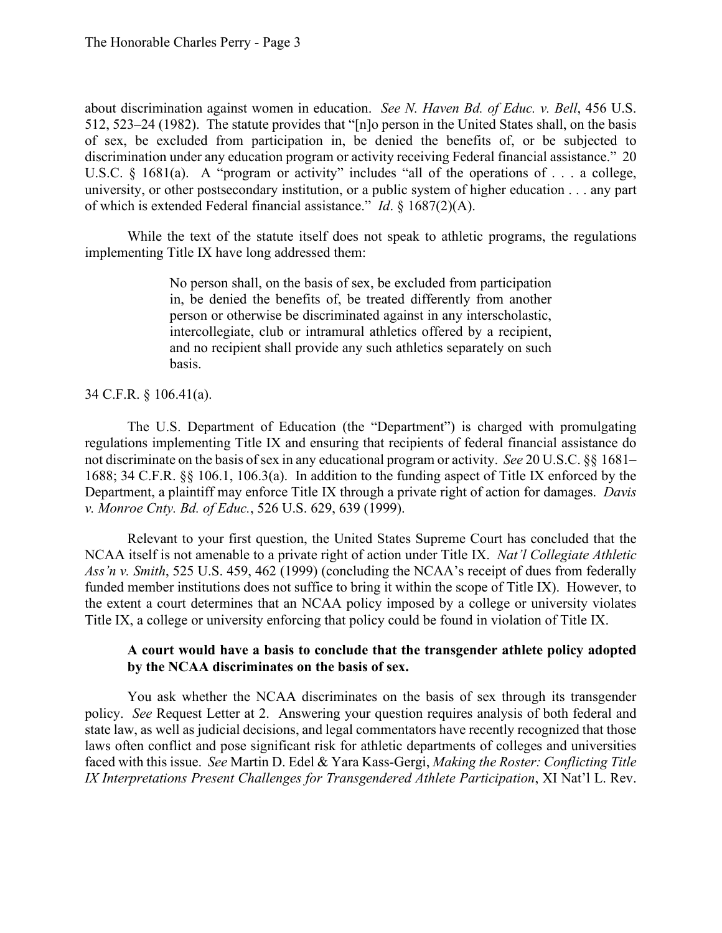512, 523–24 (1982). The statute provides that "[n]o person in the United States shall, on the basis discrimination under any education program or activity receiving Federal financial assistance." 20 U.S.C.  $\S$  1681(a). A "program or activity" includes "all of the operations of . . . a college, about discrimination against women in education. *See N. Haven Bd. of Educ. v. Bell*, 456 U.S. of sex, be excluded from participation in, be denied the benefits of, or be subjected to university, or other postsecondary institution, or a public system of higher education . . . any part of which is extended Federal financial assistance." *Id*. § 1687(2)(A).

While the text of the statute itself does not speak to athletic programs, the regulations implementing Title IX have long addressed them:

> person or otherwise be discriminated against in any interscholastic, No person shall, on the basis of sex, be excluded from participation in, be denied the benefits of, be treated differently from another intercollegiate, club or intramural athletics offered by a recipient, and no recipient shall provide any such athletics separately on such basis.

### 34 C.F.R. § 106.41(a).

 not discriminate on the basis of sex in any educational program or activity. *See* 20 U.S.C. §§ 1681– The U.S. Department of Education (the "Department") is charged with promulgating regulations implementing Title IX and ensuring that recipients of federal financial assistance do 1688; 34 C.F.R. §§ 106.1, 106.3(a). In addition to the funding aspect of Title IX enforced by the Department, a plaintiff may enforce Title IX through a private right of action for damages. *Davis v. Monroe Cnty. Bd. of Educ.*, 526 U.S. 629, 639 (1999).

 the extent a court determines that an NCAA policy imposed by a college or university violates Relevant to your first question, the United States Supreme Court has concluded that the NCAA itself is not amenable to a private right of action under Title IX. *Nat'l Collegiate Athletic Ass'n v. Smith*, 525 U.S. 459, 462 (1999) (concluding the NCAA's receipt of dues from federally funded member institutions does not suffice to bring it within the scope of Title IX). However, to Title IX, a college or university enforcing that policy could be found in violation of Title IX.

### **A court would have a basis to conclude that the transgender athlete policy adopted by the NCAA discriminates on the basis of sex.**

 policy. *See* Request Letter at 2. Answering your question requires analysis of both federal and You ask whether the NCAA discriminates on the basis of sex through its transgender state law, as well as judicial decisions, and legal commentators have recently recognized that those laws often conflict and pose significant risk for athletic departments of colleges and universities faced with this issue. *See* Martin D. Edel & Yara Kass-Gergi, *Making the Roster: Conflicting Title IX Interpretations Present Challenges for Transgendered Athlete Participation*, XI Nat'l L. Rev.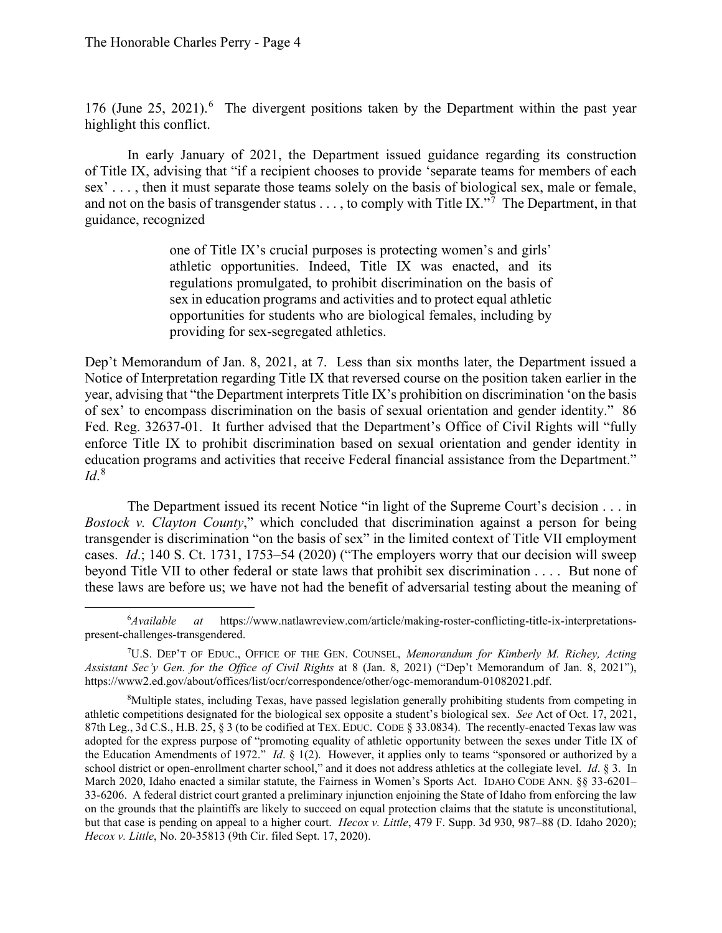176 (June 25, 2021). $^6$  The divergent positions taken by the Department within the past year highlight this conflict.

 of Title IX, advising that "if a recipient chooses to provide 'separate teams for members of each and not on the basis of transgender status  $\dots$ , to comply with Title IX."<sup>7</sup> The Department, in that In early January of 2021, the Department issued guidance regarding its construction sex' . . . , then it must separate those teams solely on the basis of biological sex, male or female, guidance, recognized

> one of Title IX's crucial purposes is protecting women's and girls' athletic opportunities. Indeed, Title IX was enacted, and its regulations promulgated, to prohibit discrimination on the basis of sex in education programs and activities and to protect equal athletic opportunities for students who are biological females, including by providing for sex-segregated athletics.

 Fed. Reg. 32637-01. It further advised that the Department's Office of Civil Rights will "fully  $\mathbb{I}d.^8$ Dep't Memorandum of Jan. 8, 2021, at 7. Less than six months later, the Department issued a Notice of Interpretation regarding Title IX that reversed course on the position taken earlier in the year, advising that "the Department interprets Title IX's prohibition on discrimination 'on the basis of sex' to encompass discrimination on the basis of sexual orientation and gender identity." 86 enforce Title IX to prohibit discrimination based on sexual orientation and gender identity in education programs and activities that receive Federal financial assistance from the Department."

 The Department issued its recent Notice "in light of the Supreme Court's decision . . . in transgender is discrimination "on the basis of sex" in the limited context of Title VII employment cases. *Id*.; 140 S. Ct. 1731, 1753–54 (2020) ("The employers worry that our decision will sweep beyond Title VII to other federal or state laws that prohibit sex discrimination . . . . But none of *Bostock v. Clayton County*," which concluded that discrimination against a person for being these laws are before us; we have not had the benefit of adversarial testing about the meaning of

 $6$ Available *Available at* <https://www.natlawreview.com/article/making-roster-conflicting-title-ix-interpretations>present-challenges-transgendered.

 7 U.S. DEP'T OF EDUC., OFFICE OF THE GEN. COUNSEL, *Memorandum for Kimberly M. Richey, Acting Assistant Sec'y Gen. for the Office of Civil Rights* at 8 (Jan. 8, 2021) ("Dep't Memorandum of Jan. 8, 2021"), [https://www2.ed.gov/about/offices/list/ocr/correspondence/other/ogc-memorandum-01082021.pdf.](https://www2.ed.gov/about/offices/list/ocr/correspondence/other/ogc-memorandum-01082021.pdf)

 athletic competitions designated for the biological sex opposite a student's biological sex. *See* Act of Oct. 17, 2021, 87th Leg., 3d C.S., H.B. 25, § 3 (to be codified at TEX. EDUC. CODE § 33.0834). The recently-enacted Texas law was adopted for the express purpose of "promoting equality of athletic opportunity between the sexes under Title IX of the Education Amendments of 1972." *Id*. § 1(2). However, it applies only to teams "sponsored or authorized by a school district or open-enrollment charter school," and it does not address athletics at the collegiate level. *Id*. § 3. In March 2020, Idaho enacted a similar statute, the Fairness in Women's Sports Act. IDAHO CODE ANN. §§ 33-6201– but that case is pending on appeal to a higher court. *Hecox v. Little*, 479 F. Supp. 3d 930, 987–88 (D. Idaho 2020); 8 Multiple states, including Texas, have passed legislation generally prohibiting students from competing in 33-6206. A federal district court granted a preliminary injunction enjoining the State of Idaho from enforcing the law on the grounds that the plaintiffs are likely to succeed on equal protection claims that the statute is unconstitutional, *Hecox v. Little*, No. 20-35813 (9th Cir. filed Sept. 17, 2020).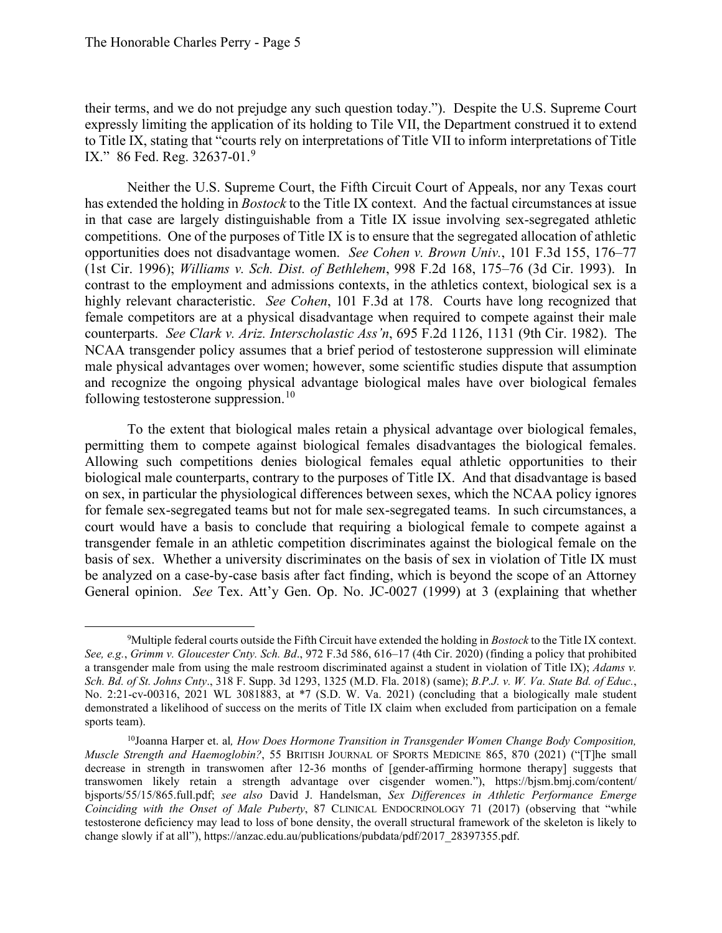their terms, and we do not prejudge any such question today."). Despite the U.S. Supreme Court IX." 86 Fed. Reg. 32637-01.<sup>9</sup> expressly limiting the application of its holding to Tile VII, the Department construed it to extend to Title IX, stating that "courts rely on interpretations of Title VII to inform interpretations of Title

 has extended the holding in *Bostock* to the Title IX context. And the factual circumstances at issue (1st Cir. 1996); *Williams v. Sch. Dist. of Bethlehem*, 998 F.2d 168, 175–76 (3d Cir. 1993). In highly relevant characteristic. *See Cohen*, 101 F.3d at 178. Courts have long recognized that following testosterone [suppression.](https://suppression.10)<sup>10</sup> Neither the U.S. Supreme Court, the Fifth Circuit Court of Appeals, nor any Texas court in that case are largely distinguishable from a Title IX issue involving sex-segregated athletic competitions. One of the purposes of Title IX is to ensure that the segregated allocation of athletic opportunities does not disadvantage women. *See Cohen v. Brown Univ.*, 101 F.3d 155, 176–77 contrast to the employment and admissions contexts, in the athletics context, biological sex is a female competitors are at a physical disadvantage when required to compete against their male counterparts. *See Clark v. Ariz. Interscholastic Ass'n*, 695 F.2d 1126, 1131 (9th Cir. 1982). The NCAA transgender policy assumes that a brief period of testosterone suppression will eliminate male physical advantages over women; however, some scientific studies dispute that assumption and recognize the ongoing physical advantage biological males have over biological females

 biological male counterparts, contrary to the purposes of Title IX. And that disadvantage is based for female sex-segregated teams but not for male sex-segregated teams. In such circumstances, a basis of sex. Whether a university discriminates on the basis of sex in violation of Title IX must General opinion. *See* Tex. Att'y Gen. Op. No. JC-0027 (1999) at 3 (explaining that whether To the extent that biological males retain a physical advantage over biological females, permitting them to compete against biological females disadvantages the biological females. Allowing such competitions denies biological females equal athletic opportunities to their on sex, in particular the physiological differences between sexes, which the NCAA policy ignores court would have a basis to conclude that requiring a biological female to compete against a transgender female in an athletic competition discriminates against the biological female on the be analyzed on a case-by-case basis after fact finding, which is beyond the scope of an Attorney

 9 Multiple federal courts outside the Fifth Circuit have extended the holding in *Bostock* to the Title IX context. a transgender male from using the male restroom discriminated against a student in violation of Title IX); *Adams v. Sch. Bd. of St. Johns Cnty*., 318 F. Supp. 3d 1293, 1325 (M.D. Fla. 2018) (same); *B.P.J. v. W. Va. State Bd. of Educ.*, No. 2:21-cv-00316, 2021 WL 3081883, at \*7 (S.D. W. Va. 2021) (concluding that a biologically male student sports team). *See, e.g.*, *Grimm v. Gloucester Cnty. Sch. Bd*., 972 F.3d 586, 616–17 (4th Cir. 2020) (finding a policy that prohibited demonstrated a likelihood of success on the merits of Title IX claim when excluded from participation on a female

sports team).<br><sup>10</sup>Joanna Harper et. al, *How Does Hormone Transition in Transgender Women Change Body Composition,*  transwomen likely retain a strength advantage over cisgender women."), <https://bjsm.bmj.com/content>/ *Muscle Strength and Haemoglobin?*, 55 BRITISH JOURNAL OF SPORTS MEDICINE 865, 870 (2021) ("[T]he small decrease in strength in transwomen after 12-36 months of [gender-affirming hormone therapy] suggests that bjsports/55/15/865.full.pdf; *see also* David J. Handelsman, *Sex Differences in Athletic Performance Emerge Coinciding with the Onset of Male Puberty*, 87 CLINICAL ENDOCRINOLOGY 71 (2017) (observing that "while testosterone deficiency may lead to loss of bone density, the overall structural framework of the skeleton is likely to change slowly if at all"), [https://anzac.edu.au/publications/pubdata/pdf/2017\\_28397355.pdf](https://anzac.edu.au/publications/pubdata/pdf/2017_28397355.pdf).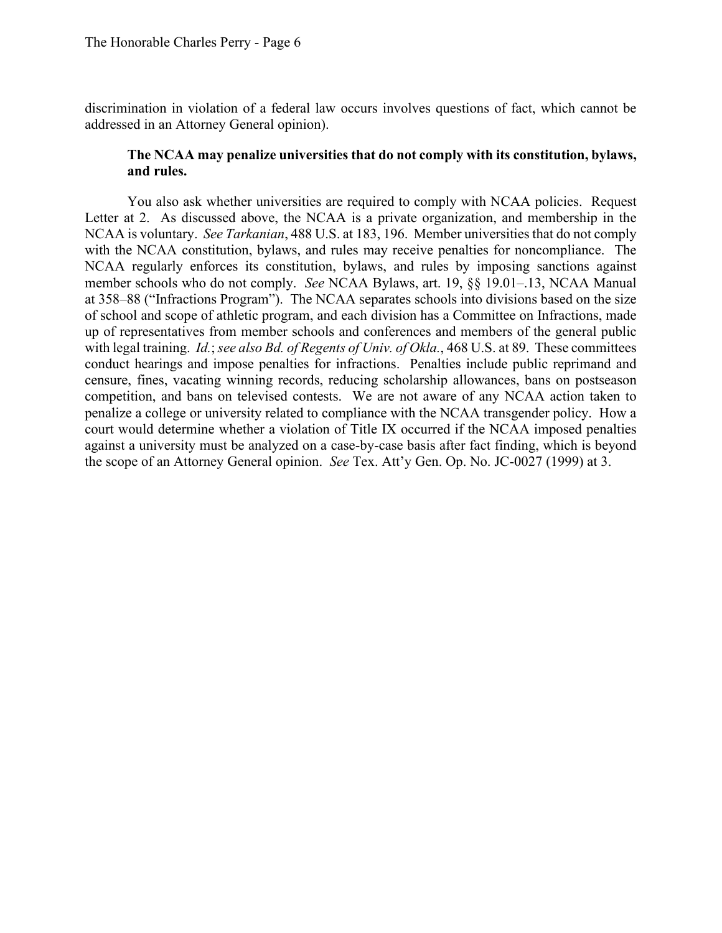discrimination in violation of a federal law occurs involves questions of fact, which cannot be addressed in an Attorney General opinion).

### **The NCAA may penalize universities that do not comply with its constitution, bylaws, and rules.**

 Letter at 2. As discussed above, the NCAA is a private organization, and membership in the NCAA is voluntary. *See Tarkanian*, 488 U.S. at 183, 196. Member universities that do not comply with the NCAA constitution, bylaws, and rules may receive penalties for noncompliance. The at 358–88 ("Infractions Program"). The NCAA separates schools into divisions based on the size with legal training. *Id.*; *see also Bd. of Regents of Univ. of Okla.*, 468 U.S. at 89. These committees the scope of an Attorney General opinion. *See* Tex. Att'y Gen. Op. No. JC-0027 (1999) at 3. You also ask whether universities are required to comply with NCAA policies. Request NCAA regularly enforces its constitution, bylaws, and rules by imposing sanctions against member schools who do not comply. *See* NCAA Bylaws, art. 19, §§ [19.01–.13](https://19.01�.13), NCAA Manual of school and scope of athletic program, and each division has a Committee on Infractions, made up of representatives from member schools and conferences and members of the general public conduct hearings and impose penalties for infractions. Penalties include public reprimand and censure, fines, vacating winning records, reducing scholarship allowances, bans on postseason competition, and bans on televised contests. We are not aware of any NCAA action taken to penalize a college or university related to compliance with the NCAA transgender policy. How a court would determine whether a violation of Title IX occurred if the NCAA imposed penalties against a university must be analyzed on a case-by-case basis after fact finding, which is beyond